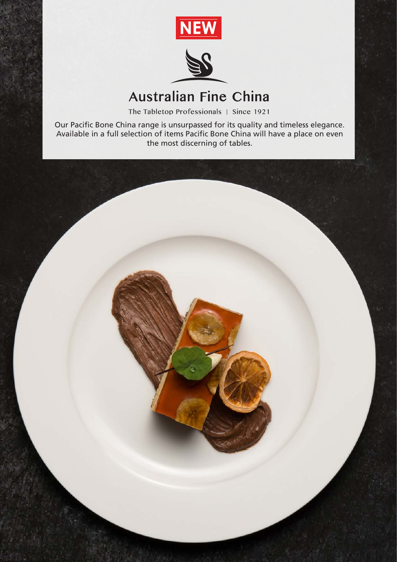



## **Australian Fine China**

The Tabletop Professionals | Since 1921

Our Pacific Bone China range is unsurpassed for its quality and timeless elegance. Available in a full selection of items Pacific Bone China will have a place on even the most discerning of tables.

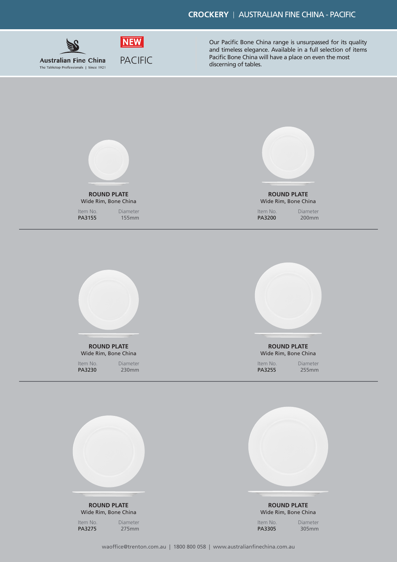## **CROCKERY** | AUSTRALIAN FINE CHINA - PACIFIC



**ROUND PLATE** Wide Rim, Bone China

PA3155 155mm

Diameter

Item No.

Our Pacific Bone China range is unsurpassed for its quality and timeless elegance. Available in a full selection of items Pacific Bone China will have a place on even the most discerning of tables.



Wide Rim, Bone China

Item No. Diameter

PA3200 200mm



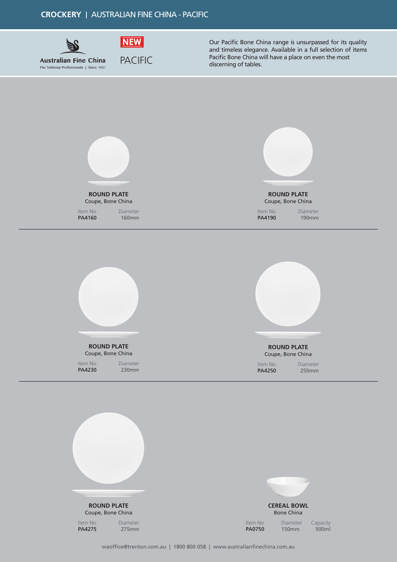



Our Pacific Bone China range is unsurpassed for its quality and timeless elegance. Available in a full selection of items Pacific Bone China will have a place on even the most discerning of tables.



Item No.<br>**PA4230** 

230mm

PA4250 250mm